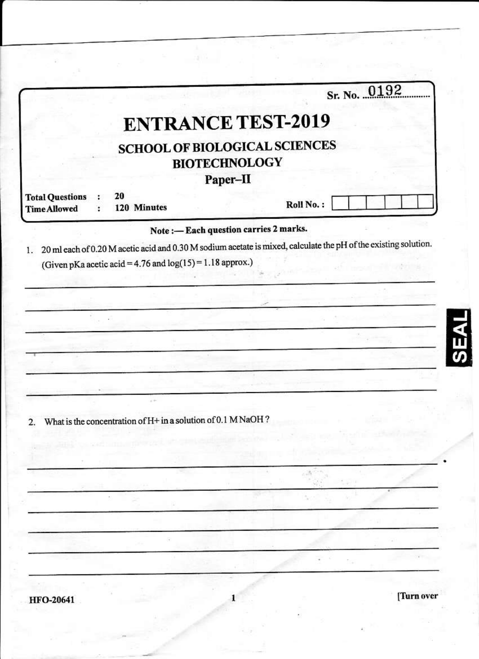|                                               |  |                                                                                                       |                                        | Sr. No. 0192                                                                                                    |  |
|-----------------------------------------------|--|-------------------------------------------------------------------------------------------------------|----------------------------------------|-----------------------------------------------------------------------------------------------------------------|--|
|                                               |  | <b>ENTRANCE TEST-2019</b><br><b>SCHOOL OF BIOLOGICAL SCIENCES</b><br><b>BIOTECHNOLOGY</b><br>Paper-II |                                        |                                                                                                                 |  |
|                                               |  |                                                                                                       |                                        |                                                                                                                 |  |
| <b>Total Questions</b><br><b>Time Allowed</b> |  | 20<br>120 Minutes                                                                                     |                                        | Roll No.:                                                                                                       |  |
|                                               |  |                                                                                                       | Note: - Each question carries 2 marks. |                                                                                                                 |  |
| 1.                                            |  |                                                                                                       |                                        | 20 ml each of 0.20 M acetic acid and 0.30 M sodium acetate is mixed, calculate the pH of the existing solution. |  |
|                                               |  | (Given pKa acetic acid = $4.76$ and log(15) = 1.18 approx.)                                           |                                        |                                                                                                                 |  |
|                                               |  |                                                                                                       |                                        |                                                                                                                 |  |
|                                               |  |                                                                                                       |                                        |                                                                                                                 |  |
|                                               |  |                                                                                                       |                                        |                                                                                                                 |  |
|                                               |  |                                                                                                       |                                        |                                                                                                                 |  |
|                                               |  |                                                                                                       |                                        |                                                                                                                 |  |
|                                               |  |                                                                                                       |                                        |                                                                                                                 |  |
|                                               |  | $\lambda$                                                                                             |                                        |                                                                                                                 |  |
| 2.                                            |  | What is the concentration of H+ in a solution of 0.1 MNaOH?                                           |                                        |                                                                                                                 |  |
|                                               |  |                                                                                                       |                                        |                                                                                                                 |  |
|                                               |  |                                                                                                       |                                        |                                                                                                                 |  |
|                                               |  |                                                                                                       |                                        |                                                                                                                 |  |
|                                               |  |                                                                                                       |                                        |                                                                                                                 |  |
|                                               |  |                                                                                                       |                                        |                                                                                                                 |  |
|                                               |  |                                                                                                       |                                        |                                                                                                                 |  |
|                                               |  |                                                                                                       |                                        |                                                                                                                 |  |
|                                               |  |                                                                                                       |                                        |                                                                                                                 |  |
|                                               |  |                                                                                                       |                                        |                                                                                                                 |  |
|                                               |  |                                                                                                       |                                        | [Turn over                                                                                                      |  |

co ver hand

 $\mathcal{H}^{\rm eff}$  .

من المنابع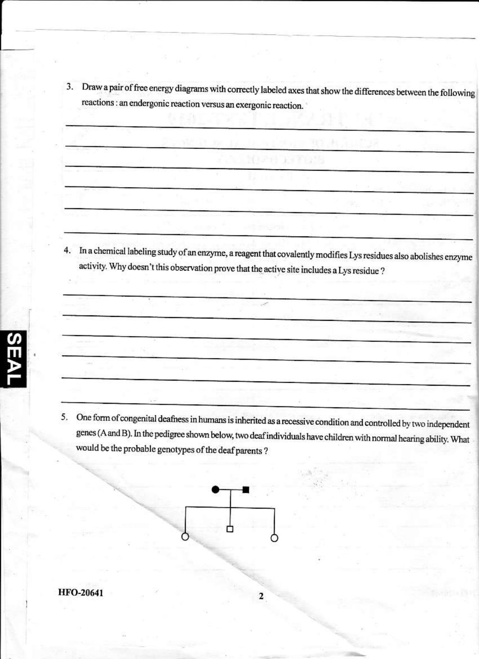Draw a pair of free energy diagrams with correctly labeled axes that show the differences between the following  $3.$ reactions : an endergonic reaction versus an exergonic reaction.

4. In a chemical labeling study of an enzyme, a reagent that covalently modifies Lys residues also abolishes enzyme activity. Why doesn't this observation prove that the active site includes a Lys residue ?

5. One form of congenital deafness in humans is inherited as a recessive condition and controlled by two independent genes (A and B). In the pedigree shown below, two deaf individuals have children with normal hearing ability. What would be the probable genotypes of the deaf parents ?

2

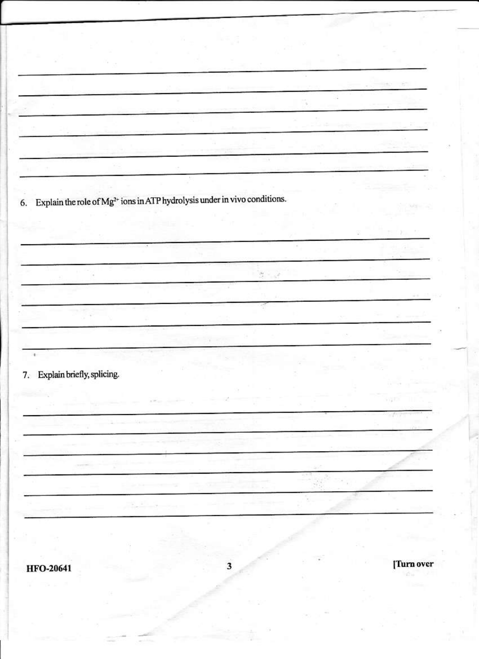men ä. V 6. Explain the role of  $Mg^{2+}$  ions in ATP hydrolysis under in vivo conditions.  $\sigma \sim 2$ ¥ 7. Explain briefly, splicing. [Turn over 3 **HFO-20641**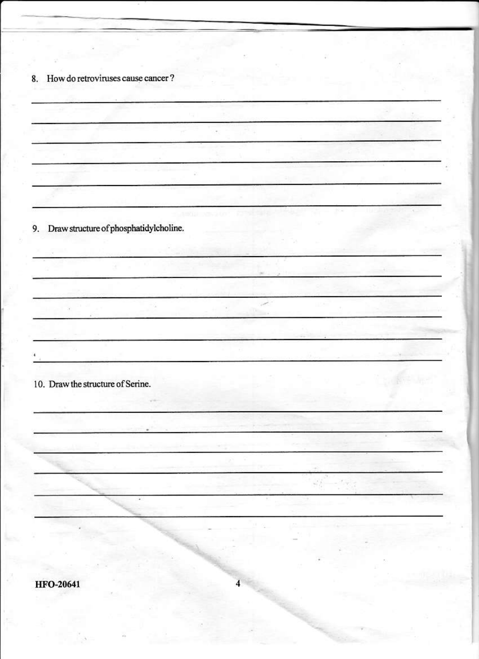8. How do retroviruses cause cancer?

9. Draw structure of phosphatidylcholine.  $\sim$ Sell. or a  $\sqrt{2}$ œ. 10. Draw the structure of Serine.  $\mathcal{L}^{(1)}_{\mathcal{L}}$  $\sim$ ÷,  $\overline{4}$ **HFO-20641**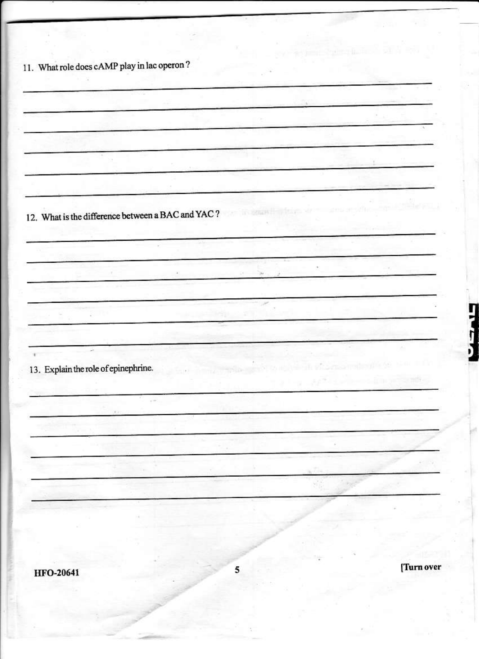11. What role does cAMP play in lac operon? 12. What is the difference between a BAC and YAC? ÷ 13. Explain the role of epinephrine. V. [Turn over 5 **HFO-20641** 

Ę

ŗ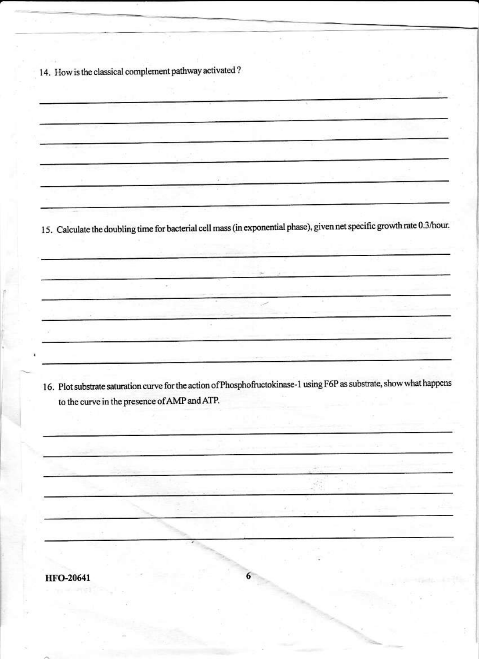14. How is the classical complement pathway activated?

à.

15. Calculate the doubling time for bacterial cell mass (in exponential phase), given net specific growth rate 0.3/hour.

16. Plot substrate saturation curve for the action of Phosphofructokinase-1 using F6P as substrate, show what happens to the curve in the presence of AMP and ATP.

6

**HFO-20641**